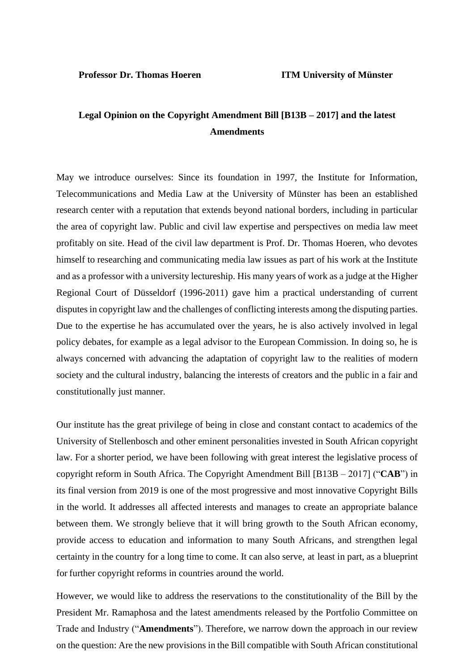# **Legal Opinion on the Copyright Amendment Bill [B13B – 2017] and the latest Amendments**

May we introduce ourselves: Since its foundation in 1997, the Institute for Information, Telecommunications and Media Law at the University of Münster has been an established research center with a reputation that extends beyond national borders, including in particular the area of copyright law. Public and civil law expertise and perspectives on media law meet profitably on site. Head of the civil law department is Prof. Dr. Thomas Hoeren, who devotes himself to researching and communicating media law issues as part of his work at the Institute and as a professor with a university lectureship. His many years of work as a judge at the Higher Regional Court of Düsseldorf (1996-2011) gave him a practical understanding of current disputes in copyright law and the challenges of conflicting interests among the disputing parties. Due to the expertise he has accumulated over the years, he is also actively involved in legal policy debates, for example as a legal advisor to the European Commission. In doing so, he is always concerned with advancing the adaptation of copyright law to the realities of modern society and the cultural industry, balancing the interests of creators and the public in a fair and constitutionally just manner.

Our institute has the great privilege of being in close and constant contact to academics of the University of Stellenbosch and other eminent personalities invested in South African copyright law. For a shorter period, we have been following with great interest the legislative process of copyright reform in South Africa. The Copyright Amendment Bill [B13B – 2017] ("**CAB**") in its final version from 2019 is one of the most progressive and most innovative Copyright Bills in the world. It addresses all affected interests and manages to create an appropriate balance between them. We strongly believe that it will bring growth to the South African economy, provide access to education and information to many South Africans, and strengthen legal certainty in the country for a long time to come. It can also serve, at least in part, as a blueprint for further copyright reforms in countries around the world.

However, we would like to address the reservations to the constitutionality of the Bill by the President Mr. Ramaphosa and the latest amendments released by the Portfolio Committee on Trade and Industry ("**Amendments**"). Therefore, we narrow down the approach in our review on the question: Are the new provisions in the Bill compatible with South African constitutional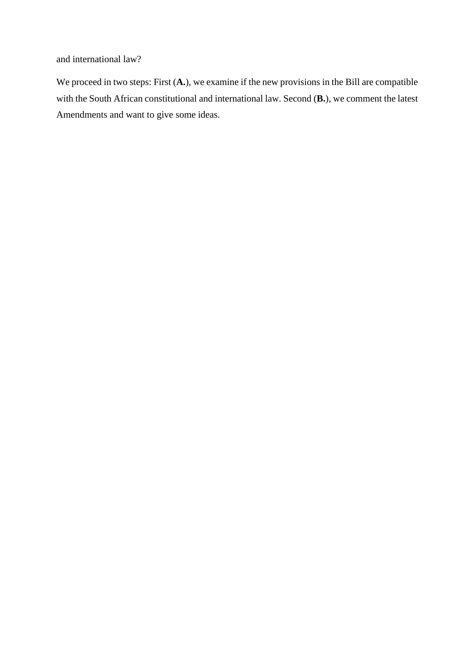and international law?

We proceed in two steps: First  $(A<sub>•</sub>)$ , we examine if the new provisions in the Bill are compatible with the South African constitutional and international law. Second (**B.**), we comment the latest Amendments and want to give some ideas.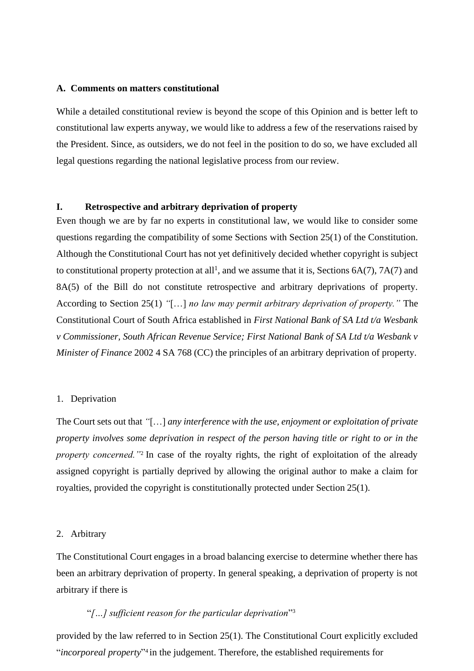#### **A. Comments on matters constitutional**

While a detailed constitutional review is beyond the scope of this Opinion and is better left to constitutional law experts anyway, we would like to address a few of the reservations raised by the President. Since, as outsiders, we do not feel in the position to do so, we have excluded all legal questions regarding the national legislative process from our review.

## **I. Retrospective and arbitrary deprivation of property**

Even though we are by far no experts in constitutional law, we would like to consider some questions regarding the compatibility of some Sections with Section 25(1) of the Constitution. Although the Constitutional Court has not yet definitively decided whether copyright is subject to constitutional property protection at all<sup>1</sup>, and we assume that it is, Sections  $6A(7)$ ,  $7A(7)$  and 8A(5) of the Bill do not constitute retrospective and arbitrary deprivations of property. According to Section 25(1) *"*[…] *no law may permit arbitrary deprivation of property."* The Constitutional Court of South Africa established in *First National Bank of SA Ltd t/a Wesbank v Commissioner, South African Revenue Service; First National Bank of SA Ltd t/a Wesbank v Minister of Finance* 2002 4 SA 768 (CC) the principles of an arbitrary deprivation of property.

#### 1. Deprivation

The Court sets out that *"*[…] *any interference with the use, enjoyment or exploitation of private property involves some deprivation in respect of the person having title or right to or in the property concerned.*"<sup>2</sup> In case of the royalty rights, the right of exploitation of the already assigned copyright is partially deprived by allowing the original author to make a claim for royalties, provided the copyright is constitutionally protected under Section 25(1).

#### 2. Arbitrary

The Constitutional Court engages in a broad balancing exercise to determine whether there has been an arbitrary deprivation of property. In general speaking, a deprivation of property is not arbitrary if there is

#### "*[…] sufficient reason for the particular deprivation*" 3

provided by the law referred to in Section 25(1). The Constitutional Court explicitly excluded "*incorporeal property*" 4 in the judgement. Therefore, the established requirements for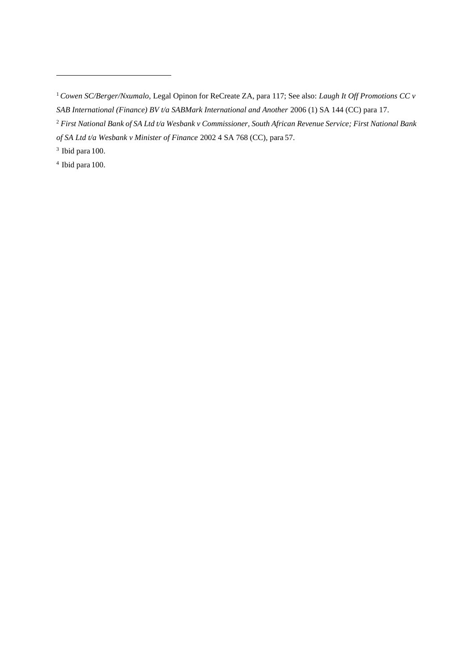Ibid para 100.

Ibid para 100.

*Cowen SC/Berger/Nxumalo,* Legal Opinon for ReCreate ZA, para 117; See also: *Laugh It Off Promotions CC v SAB International (Finance) BV t/a SABMark International and Another 2006 (1) SA 144 (CC) para 17.* 

 First National Bank of SA Ltd t/a Wesbank v Commissioner, South African Revenue Service; First National Bank *of SA Ltd t/a Wesbank v Minister of Finance* 2002 4 SA 768 (CC), para 57.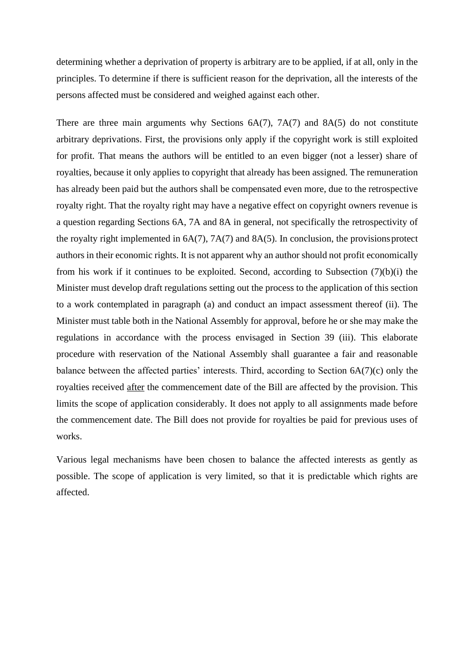determining whether a deprivation of property is arbitrary are to be applied, if at all, only in the principles. To determine if there is sufficient reason for the deprivation, all the interests of the persons affected must be considered and weighed against each other.

There are three main arguments why Sections 6A(7), 7A(7) and 8A(5) do not constitute arbitrary deprivations. First, the provisions only apply if the copyright work is still exploited for profit. That means the authors will be entitled to an even bigger (not a lesser) share of royalties, because it only applies to copyright that already has been assigned. The remuneration has already been paid but the authors shall be compensated even more, due to the retrospective royalty right. That the royalty right may have a negative effect on copyright owners revenue is a question regarding Sections 6A, 7A and 8A in general, not specifically the retrospectivity of the royalty right implemented in  $6A(7)$ ,  $7A(7)$  and  $8A(5)$ . In conclusion, the provisions protect authors in their economic rights. It is not apparent why an author should not profit economically from his work if it continues to be exploited. Second, according to Subsection  $(7)(b)(i)$  the Minister must develop draft regulations setting out the process to the application of this section to a work contemplated in paragraph (a) and conduct an impact assessment thereof (ii). The Minister must table both in the National Assembly for approval, before he or she may make the regulations in accordance with the process envisaged in Section 39 (iii). This elaborate procedure with reservation of the National Assembly shall guarantee a fair and reasonable balance between the affected parties' interests. Third, according to Section 6A(7)(c) only the royalties received after the commencement date of the Bill are affected by the provision. This limits the scope of application considerably. It does not apply to all assignments made before the commencement date. The Bill does not provide for royalties be paid for previous uses of works.

Various legal mechanisms have been chosen to balance the affected interests as gently as possible. The scope of application is very limited, so that it is predictable which rights are affected.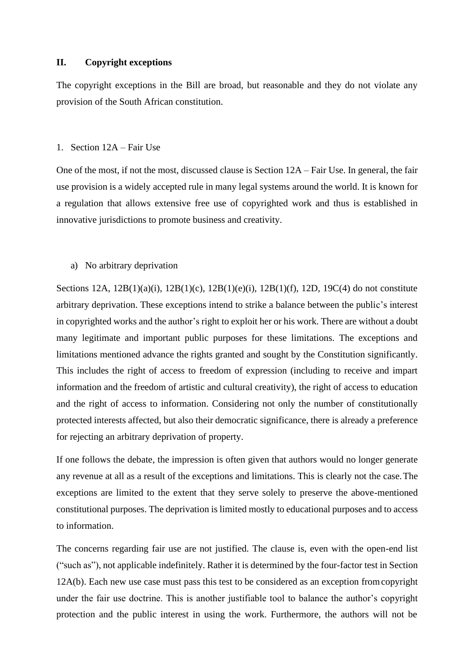## **II. Copyright exceptions**

The copyright exceptions in the Bill are broad, but reasonable and they do not violate any provision of the South African constitution.

### 1. Section 12A – Fair Use

One of the most, if not the most, discussed clause is Section 12A – Fair Use. In general, the fair use provision is a widely accepted rule in many legal systems around the world. It is known for a regulation that allows extensive free use of copyrighted work and thus is established in innovative jurisdictions to promote business and creativity.

## a) No arbitrary deprivation

Sections 12A, 12B(1)(a)(i), 12B(1)(c), 12B(1)(e)(i), 12B(1)(f), 12D, 19C(4) do not constitute arbitrary deprivation. These exceptions intend to strike a balance between the public's interest in copyrighted works and the author's right to exploit her or his work. There are without a doubt many legitimate and important public purposes for these limitations. The exceptions and limitations mentioned advance the rights granted and sought by the Constitution significantly. This includes the right of access to freedom of expression (including to receive and impart information and the freedom of artistic and cultural creativity), the right of access to education and the right of access to information. Considering not only the number of constitutionally protected interests affected, but also their democratic significance, there is already a preference for rejecting an arbitrary deprivation of property.

If one follows the debate, the impression is often given that authors would no longer generate any revenue at all as a result of the exceptions and limitations. This is clearly not the case.The exceptions are limited to the extent that they serve solely to preserve the above-mentioned constitutional purposes. The deprivation is limited mostly to educational purposes and to access to information.

The concerns regarding fair use are not justified. The clause is, even with the open-end list ("such as"), not applicable indefinitely. Rather it is determined by the four-factor test in Section 12A(b). Each new use case must pass this test to be considered as an exception fromcopyright under the fair use doctrine. This is another justifiable tool to balance the author's copyright protection and the public interest in using the work. Furthermore, the authors will not be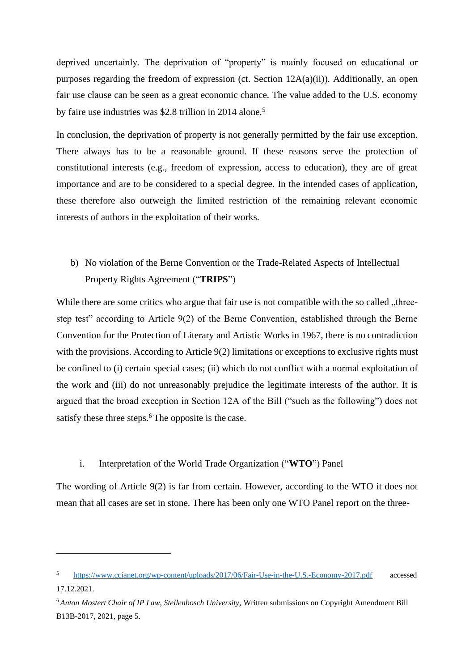deprived uncertainly. The deprivation of "property" is mainly focused on educational or purposes regarding the freedom of expression (ct. Section 12A(a)(ii)). Additionally, an open fair use clause can be seen as a great economic chance. The value added to the U.S. economy by faire use industries was \$2.8 trillion in 2014 alone.<sup>5</sup>

In conclusion, the deprivation of property is not generally permitted by the fair use exception. There always has to be a reasonable ground. If these reasons serve the protection of constitutional interests (e.g., freedom of expression, access to education), they are of great importance and are to be considered to a special degree. In the intended cases of application, these therefore also outweigh the limited restriction of the remaining relevant economic interests of authors in the exploitation of their works.

# b) No violation of the Berne Convention or the Trade-Related Aspects of Intellectual Property Rights Agreement ("**TRIPS**")

While there are some critics who argue that fair use is not compatible with the so called "threestep test" according to Article 9(2) of the Berne Convention, established through the Berne Convention for the Protection of Literary and Artistic Works in 1967, there is no contradiction with the provisions. According to Article 9(2) limitations or exceptions to exclusive rights must be confined to (i) certain special cases; (ii) which do not conflict with a normal exploitation of the work and (iii) do not unreasonably prejudice the legitimate interests of the author. It is argued that the broad exception in Section 12A of the Bill ("such as the following") does not satisfy these three steps.<sup>6</sup>The opposite is the case.

# i. Interpretation of the World Trade Organization ("**WTO**") Panel

The wording of Article 9(2) is far from certain. However, according to the WTO it does not mean that all cases are set in stone. There has been only one WTO Panel report on the three-

<sup>5</sup> https:/[/www.ccianet.org/wp-content/uploads/2017/06/Fair-Use-in-the-U.S.-Economy-2017.pdf](http://www.ccianet.org/wp-content/uploads/2017/06/Fair-Use-in-the-U.S.-Economy-2017.pdf) accessed 17.12.2021.

<sup>6</sup>*Anton Mostert Chair of IP Law, Stellenbosch University,* Written submissions on Copyright Amendment Bill B13B-2017, 2021, page 5.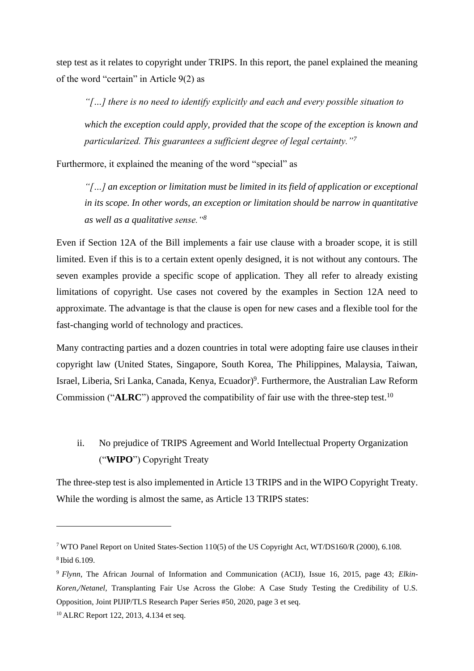step test as it relates to copyright under TRIPS. In this report, the panel explained the meaning of the word "certain" in Article 9(2) as

*"[…] there is no need to identify explicitly and each and every possible situation to which the exception could apply, provided that the scope of the exception is known and particularized. This guarantees a sufficient degree of legal certainty."<sup>7</sup>*

Furthermore, it explained the meaning of the word "special" as

*"[…] an exception or limitation must be limited in its field of application or exceptional in its scope. In other words, an exception or limitation should be narrow in quantitative as well as a qualitative sense."<sup>8</sup>*

Even if Section 12A of the Bill implements a fair use clause with a broader scope, it is still limited. Even if this is to a certain extent openly designed, it is not without any contours. The seven examples provide a specific scope of application. They all refer to already existing limitations of copyright. Use cases not covered by the examples in Section 12A need to approximate. The advantage is that the clause is open for new cases and a flexible tool for the fast-changing world of technology and practices.

Many contracting parties and a dozen countries in total were adopting faire use clauses intheir copyright law (United States, Singapore, South Korea, The Philippines, Malaysia, Taiwan, Israel, Liberia, Sri Lanka, Canada, Kenya, Ecuador)<sup>9</sup>. Furthermore, the Australian Law Reform Commission ("**ALRC**") approved the compatibility of fair use with the three-step test.<sup>10</sup>

ii. No prejudice of TRIPS Agreement and World Intellectual Property Organization ("**WIPO**") Copyright Treaty

The three-step test is also implemented in Article 13 TRIPS and in the WIPO Copyright Treaty. While the wording is almost the same, as Article 13 TRIPS states:

<sup>7</sup>WTO Panel Report on United States-Section 110(5) of the US Copyright Act, WT/DS160/R (2000), 6.108. <sup>8</sup>Ibid 6.109.

<sup>9</sup> *Flynn*, The African Journal of Information and Communication (ACIJ), Issue 16, 2015, page 43; *Elkin-Koren,/Netanel,* Transplanting Fair Use Across the Globe: A Case Study Testing the Credibility of U.S. Opposition, Joint PIJIP/TLS Research Paper Series #50, 2020, page 3 et seq.

<sup>10</sup> ALRC Report 122, 2013, 4.134 et seq.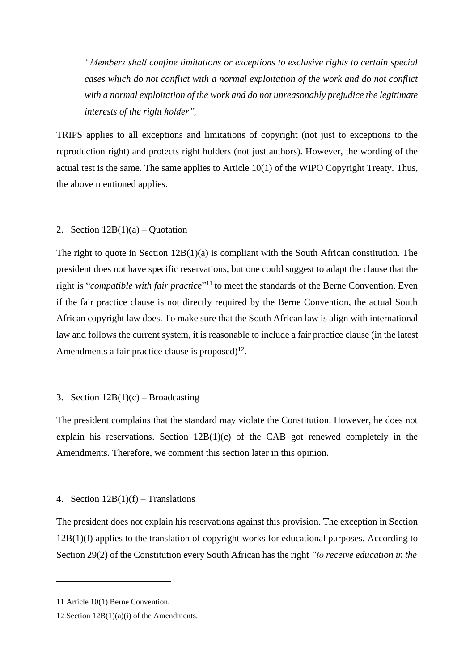*"Members shall confine limitations or exceptions to exclusive rights to certain special cases which do not conflict with a normal exploitation of the work and do not conflict with a normal exploitation of the work and do not unreasonably prejudice the legitimate interests of the right holder",*

TRIPS applies to all exceptions and limitations of copyright (not just to exceptions to the reproduction right) and protects right holders (not just authors). However, the wording of the actual test is the same. The same applies to Article 10(1) of the WIPO Copyright Treaty. Thus, the above mentioned applies.

## 2. Section  $12B(1)(a) - Quotation$

The right to quote in Section 12B(1)(a) is compliant with the South African constitution. The president does not have specific reservations, but one could suggest to adapt the clause that the right is "*compatible with fair practice*"<sup>11</sup> to meet the standards of the Berne Convention. Even if the fair practice clause is not directly required by the Berne Convention, the actual South African copyright law does. To make sure that the South African law is align with international law and follows the current system, it is reasonable to include a fair practice clause (in the latest Amendments a fair practice clause is proposed) $^{12}$ .

## 3. Section  $12B(1)(c)$  – Broadcasting

The president complains that the standard may violate the Constitution. However, he does not explain his reservations. Section 12B(1)(c) of the CAB got renewed completely in the Amendments. Therefore, we comment this section later in this opinion.

## 4. Section  $12B(1)(f)$  – Translations

The president does not explain his reservations against this provision. The exception in Section 12B(1)(f) applies to the translation of copyright works for educational purposes. According to Section 29(2) of the Constitution every South African has the right *"to receive education in the*

<sup>11</sup> Article 10(1) Berne Convention.

<sup>12</sup> Section 12B(1)(a)(i) of the Amendments.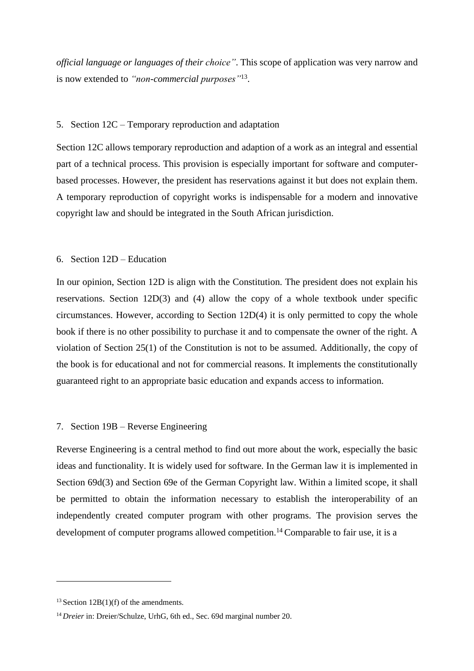*official language or languages of their choice"*. This scope of application was very narrow and is now extended to *"non-commercial purposes"*<sup>13</sup> .

## 5. Section 12C – Temporary reproduction and adaptation

Section 12C allows temporary reproduction and adaption of a work as an integral and essential part of a technical process. This provision is especially important for software and computerbased processes. However, the president has reservations against it but does not explain them. A temporary reproduction of copyright works is indispensable for a modern and innovative copyright law and should be integrated in the South African jurisdiction.

### 6. Section 12D – Education

In our opinion, Section 12D is align with the Constitution. The president does not explain his reservations. Section 12D(3) and (4) allow the copy of a whole textbook under specific circumstances. However, according to Section 12D(4) it is only permitted to copy the whole book if there is no other possibility to purchase it and to compensate the owner of the right. A violation of Section 25(1) of the Constitution is not to be assumed. Additionally, the copy of the book is for educational and not for commercial reasons. It implements the constitutionally guaranteed right to an appropriate basic education and expands access to information.

## 7. Section 19B – Reverse Engineering

Reverse Engineering is a central method to find out more about the work, especially the basic ideas and functionality. It is widely used for software. In the German law it is implemented in Section 69d(3) and Section 69e of the German Copyright law. Within a limited scope, it shall be permitted to obtain the information necessary to establish the interoperability of an independently created computer program with other programs. The provision serves the development of computer programs allowed competition.<sup>14</sup> Comparable to fair use, it is a

 $13$  Section 12B(1)(f) of the amendments.

<sup>&</sup>lt;sup>14</sup> *Dreier* in: Dreier/Schulze, UrhG, 6th ed., Sec. 69d marginal number 20.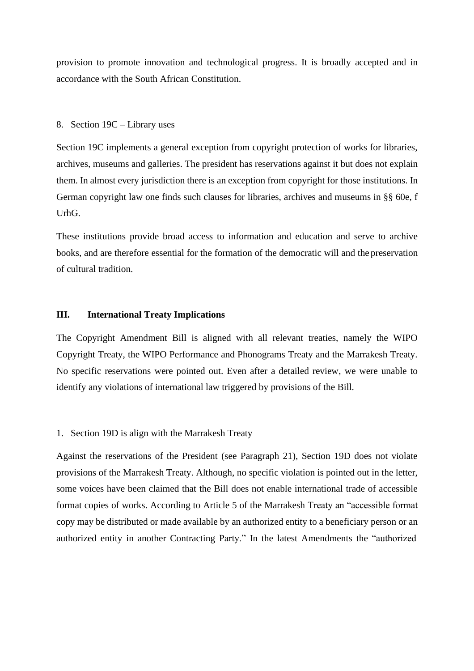provision to promote innovation and technological progress. It is broadly accepted and in accordance with the South African Constitution.

#### 8. Section 19C – Library uses

Section 19C implements a general exception from copyright protection of works for libraries, archives, museums and galleries. The president has reservations against it but does not explain them. In almost every jurisdiction there is an exception from copyright for those institutions. In German copyright law one finds such clauses for libraries, archives and museums in §§ 60e, f UrhG.

These institutions provide broad access to information and education and serve to archive books, and are therefore essential for the formation of the democratic will and the preservation of cultural tradition.

### **III. International Treaty Implications**

The Copyright Amendment Bill is aligned with all relevant treaties, namely the WIPO Copyright Treaty, the WIPO Performance and Phonograms Treaty and the Marrakesh Treaty. No specific reservations were pointed out. Even after a detailed review, we were unable to identify any violations of international law triggered by provisions of the Bill.

#### 1. Section 19D is align with the Marrakesh Treaty

Against the reservations of the President (see Paragraph 21), Section 19D does not violate provisions of the Marrakesh Treaty. Although, no specific violation is pointed out in the letter, some voices have been claimed that the Bill does not enable international trade of accessible format copies of works. According to Article 5 of the Marrakesh Treaty an "accessible format copy may be distributed or made available by an authorized entity to a beneficiary person or an authorized entity in another Contracting Party." In the latest Amendments the "authorized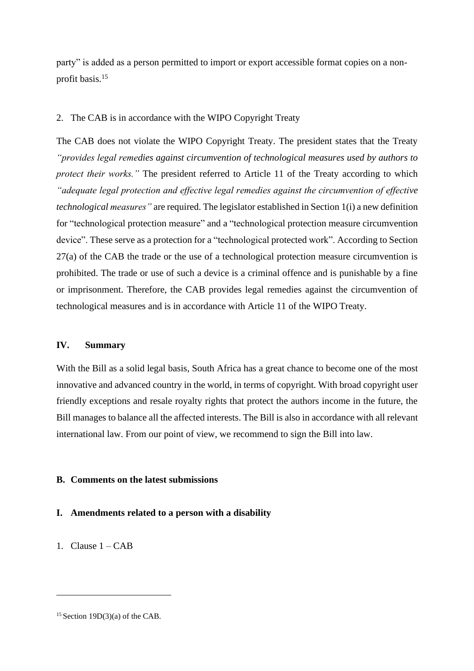party" is added as a person permitted to import or export accessible format copies on a nonprofit basis.<sup>15</sup>

## 2. The CAB is in accordance with the WIPO Copyright Treaty

The CAB does not violate the WIPO Copyright Treaty. The president states that the Treaty *"provides legal remedies against circumvention of technological measures used by authors to protect their works."* The president referred to Article 11 of the Treaty according to which *"adequate legal protection and effective legal remedies against the circumvention of effective technological measures"* are required. The legislator established in Section 1(i) a new definition for "technological protection measure" and a "technological protection measure circumvention device". These serve as a protection for a "technological protected work". According to Section 27(a) of the CAB the trade or the use of a technological protection measure circumvention is prohibited. The trade or use of such a device is a criminal offence and is punishable by a fine or imprisonment. Therefore, the CAB provides legal remedies against the circumvention of technological measures and is in accordance with Article 11 of the WIPO Treaty.

# **IV. Summary**

With the Bill as a solid legal basis, South Africa has a great chance to become one of the most innovative and advanced country in the world, in terms of copyright. With broad copyright user friendly exceptions and resale royalty rights that protect the authors income in the future, the Bill manages to balance all the affected interests. The Bill is also in accordance with all relevant international law. From our point of view, we recommend to sign the Bill into law.

## **B. Comments on the latest submissions**

# **I. Amendments related to a person with a disability**

1. Clause  $1 - CAB$ 

<sup>&</sup>lt;sup>15</sup> Section 19D(3)(a) of the CAB.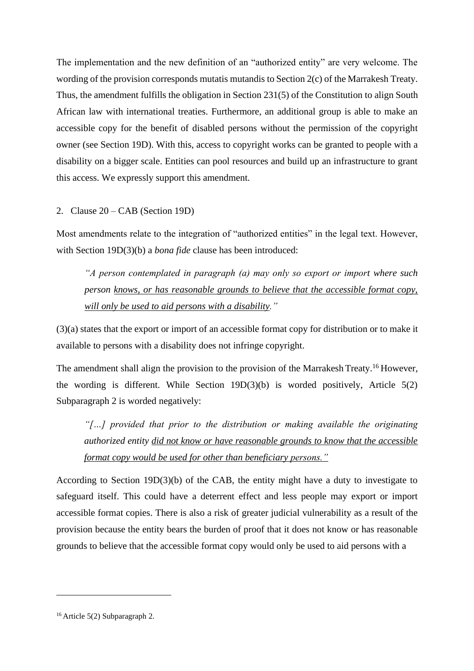The implementation and the new definition of an "authorized entity" are very welcome. The wording of the provision corresponds mutatis mutandis to Section 2(c) of the Marrakesh Treaty. Thus, the amendment fulfills the obligation in Section 231(5) of the Constitution to align South African law with international treaties. Furthermore, an additional group is able to make an accessible copy for the benefit of disabled persons without the permission of the copyright owner (see Section 19D). With this, access to copyright works can be granted to people with a disability on a bigger scale. Entities can pool resources and build up an infrastructure to grant this access. We expressly support this amendment.

2. Clause 20 – CAB (Section 19D)

Most amendments relate to the integration of "authorized entities" in the legal text. However, with Section 19D(3)(b) a *bona fide* clause has been introduced:

*"A person contemplated in paragraph (a) may only so export or import where such person knows, or has reasonable grounds to believe that the accessible format copy, will only be used to aid persons with a disability."*

(3)(a) states that the export or import of an accessible format copy for distribution or to make it available to persons with a disability does not infringe copyright.

The amendment shall align the provision to the provision of the Marrakesh Treaty.<sup>16</sup> However, the wording is different. While Section 19D(3)(b) is worded positively, Article 5(2) Subparagraph 2 is worded negatively:

*"[…] provided that prior to the distribution or making available the originating authorized entity did not know or have reasonable grounds to know that the accessible format copy would be used for other than beneficiary persons."*

According to Section 19D(3)(b) of the CAB, the entity might have a duty to investigate to safeguard itself. This could have a deterrent effect and less people may export or import accessible format copies. There is also a risk of greater judicial vulnerability as a result of the provision because the entity bears the burden of proof that it does not know or has reasonable grounds to believe that the accessible format copy would only be used to aid persons with a

<sup>16</sup> Article 5(2) Subparagraph 2.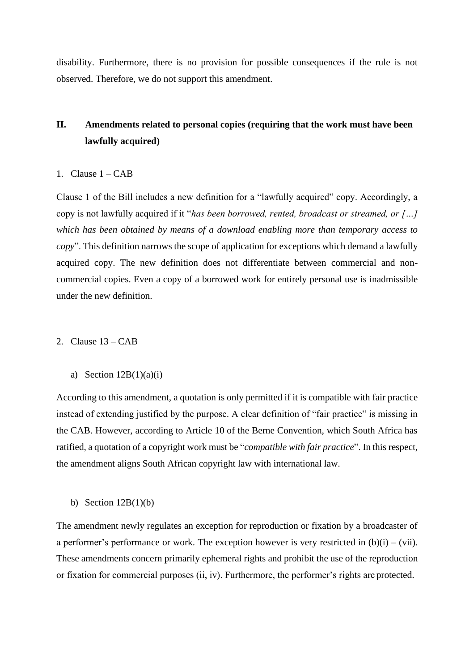disability. Furthermore, there is no provision for possible consequences if the rule is not observed. Therefore, we do not support this amendment.

# **II. Amendments related to personal copies (requiring that the work must have been lawfully acquired)**

## 1. Clause  $1 - CAB$

Clause 1 of the Bill includes a new definition for a "lawfully acquired" copy. Accordingly, a copy is not lawfully acquired if it "*has been borrowed, rented, broadcast or streamed, or […] which has been obtained by means of a download enabling more than temporary access to copy*". This definition narrows the scope of application for exceptions which demand a lawfully acquired copy. The new definition does not differentiate between commercial and noncommercial copies. Even a copy of a borrowed work for entirely personal use is inadmissible under the new definition.

### 2. Clause  $13 - CAB$

a) Section  $12B(1)(a)(i)$ 

According to this amendment, a quotation is only permitted if it is compatible with fair practice instead of extending justified by the purpose. A clear definition of "fair practice" is missing in the CAB. However, according to Article 10 of the Berne Convention, which South Africa has ratified, a quotation of a copyright work must be "*compatible with fair practice*". In this respect, the amendment aligns South African copyright law with international law.

b) Section  $12B(1)(b)$ 

The amendment newly regulates an exception for reproduction or fixation by a broadcaster of a performer's performance or work. The exception however is very restricted in  $(b)(i) - (vii)$ . These amendments concern primarily ephemeral rights and prohibit the use of the reproduction or fixation for commercial purposes (ii, iv). Furthermore, the performer's rights are protected.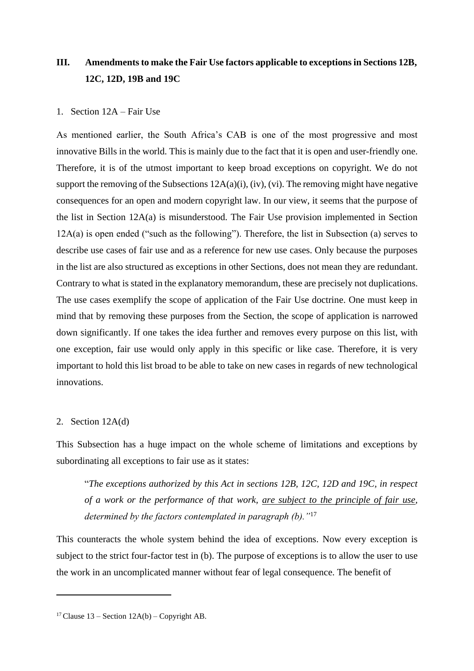# **III. Amendments to make the Fair Use factors applicable to exceptions in Sections 12B, 12C, 12D, 19B and 19C**

### 1. Section 12A – Fair Use

As mentioned earlier, the South Africa's CAB is one of the most progressive and most innovative Bills in the world. This is mainly due to the fact that it is open and user-friendly one. Therefore, it is of the utmost important to keep broad exceptions on copyright. We do not support the removing of the Subsections 12A(a)(i), (iv), (vi). The removing might have negative consequences for an open and modern copyright law. In our view, it seems that the purpose of the list in Section 12A(a) is misunderstood. The Fair Use provision implemented in Section 12A(a) is open ended ("such as the following"). Therefore, the list in Subsection (a) serves to describe use cases of fair use and as a reference for new use cases. Only because the purposes in the list are also structured as exceptions in other Sections, does not mean they are redundant. Contrary to what is stated in the explanatory memorandum, these are precisely not duplications. The use cases exemplify the scope of application of the Fair Use doctrine. One must keep in mind that by removing these purposes from the Section, the scope of application is narrowed down significantly. If one takes the idea further and removes every purpose on this list, with one exception, fair use would only apply in this specific or like case. Therefore, it is very important to hold this list broad to be able to take on new cases in regards of new technological innovations.

#### 2. Section 12A(d)

This Subsection has a huge impact on the whole scheme of limitations and exceptions by subordinating all exceptions to fair use as it states:

"*The exceptions authorized by this Act in sections 12B, 12C, 12D and 19C, in respect of a work or the performance of that work, are subject to the principle of fair use, determined by the factors contemplated in paragraph (b)."*<sup>17</sup>

This counteracts the whole system behind the idea of exceptions. Now every exception is subject to the strict four-factor test in (b). The purpose of exceptions is to allow the user to use the work in an uncomplicated manner without fear of legal consequence. The benefit of

<sup>&</sup>lt;sup>17</sup> Clause 13 – Section  $12A(b)$  – Copyright AB.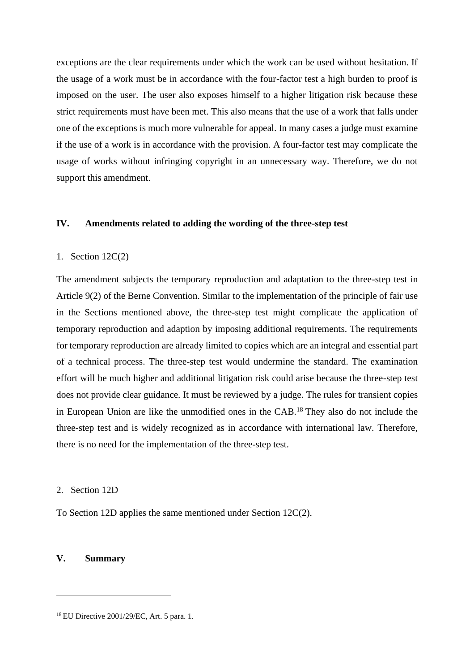exceptions are the clear requirements under which the work can be used without hesitation. If the usage of a work must be in accordance with the four-factor test a high burden to proof is imposed on the user. The user also exposes himself to a higher litigation risk because these strict requirements must have been met. This also means that the use of a work that falls under one of the exceptions is much more vulnerable for appeal. In many cases a judge must examine if the use of a work is in accordance with the provision. A four-factor test may complicate the usage of works without infringing copyright in an unnecessary way. Therefore, we do not support this amendment.

## **IV. Amendments related to adding the wording of the three-step test**

#### 1. Section 12C(2)

The amendment subjects the temporary reproduction and adaptation to the three-step test in Article 9(2) of the Berne Convention. Similar to the implementation of the principle of fair use in the Sections mentioned above, the three-step test might complicate the application of temporary reproduction and adaption by imposing additional requirements. The requirements for temporary reproduction are already limited to copies which are an integral and essential part of a technical process. The three-step test would undermine the standard. The examination effort will be much higher and additional litigation risk could arise because the three-step test does not provide clear guidance. It must be reviewed by a judge. The rules for transient copies in European Union are like the unmodified ones in the CAB.<sup>18</sup>They also do not include the three-step test and is widely recognized as in accordance with international law. Therefore, there is no need for the implementation of the three-step test.

### 2. Section 12D

To Section 12D applies the same mentioned under Section 12C(2).

## **V. Summary**

<sup>18</sup> EU Directive 2001/29/EC, Art. 5 para. 1.